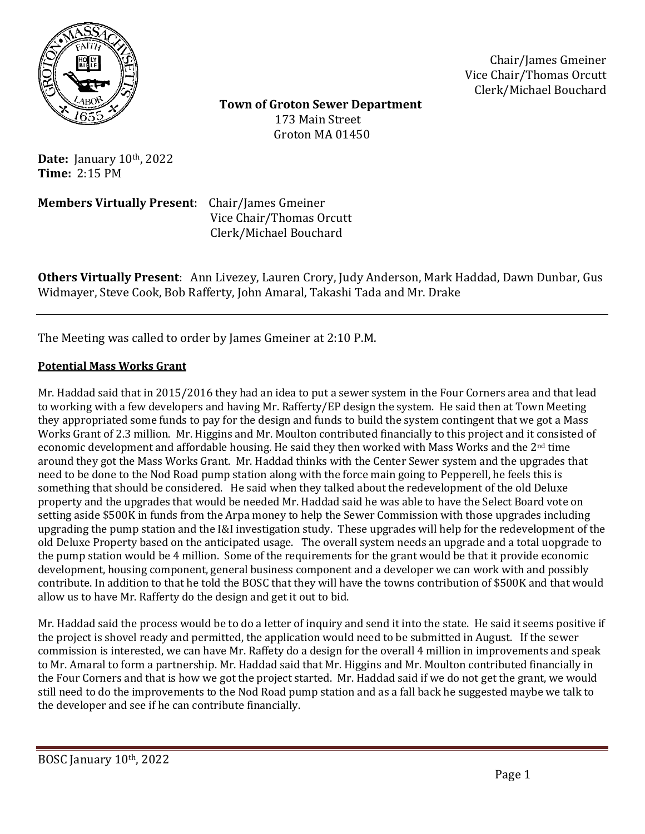

Chair/James Gmeiner Vice Chair/Thomas Orcutt Clerk/Michael Bouchard

 **Town of Groton Sewer Department** 173 Main Street Groton MA 01450

**Date:** January 10th, 2022 **Time:** 2:15 PM

**Members Virtually Present**: Chair/James Gmeiner

 Vice Chair/Thomas Orcutt Clerk/Michael Bouchard

**Others Virtually Present**: Ann Livezey, Lauren Crory, Judy Anderson, Mark Haddad, Dawn Dunbar, Gus Widmayer, Steve Cook, Bob Rafferty, John Amaral, Takashi Tada and Mr. Drake

The Meeting was called to order by James Gmeiner at 2:10 P.M.

# **Potential Mass Works Grant**

Mr. Haddad said that in 2015/2016 they had an idea to put a sewer system in the Four Corners area and that lead to working with a few developers and having Mr. Rafferty/EP design the system. He said then at Town Meeting they appropriated some funds to pay for the design and funds to build the system contingent that we got a Mass Works Grant of 2.3 million. Mr. Higgins and Mr. Moulton contributed financially to this project and it consisted of economic development and affordable housing. He said they then worked with Mass Works and the 2nd time around they got the Mass Works Grant. Mr. Haddad thinks with the Center Sewer system and the upgrades that need to be done to the Nod Road pump station along with the force main going to Pepperell, he feels this is something that should be considered. He said when they talked about the redevelopment of the old Deluxe property and the upgrades that would be needed Mr. Haddad said he was able to have the Select Board vote on setting aside \$500K in funds from the Arpa money to help the Sewer Commission with those upgrades including upgrading the pump station and the I&I investigation study. These upgrades will help for the redevelopment of the old Deluxe Property based on the anticipated usage. The overall system needs an upgrade and a total uopgrade to the pump station would be 4 million. Some of the requirements for the grant would be that it provide economic development, housing component, general business component and a developer we can work with and possibly contribute. In addition to that he told the BOSC that they will have the towns contribution of \$500K and that would allow us to have Mr. Rafferty do the design and get it out to bid.

Mr. Haddad said the process would be to do a letter of inquiry and send it into the state. He said it seems positive if the project is shovel ready and permitted, the application would need to be submitted in August. If the sewer commission is interested, we can have Mr. Raffety do a design for the overall 4 million in improvements and speak to Mr. Amaral to form a partnership. Mr. Haddad said that Mr. Higgins and Mr. Moulton contributed financially in the Four Corners and that is how we got the project started. Mr. Haddad said if we do not get the grant, we would still need to do the improvements to the Nod Road pump station and as a fall back he suggested maybe we talk to the developer and see if he can contribute financially.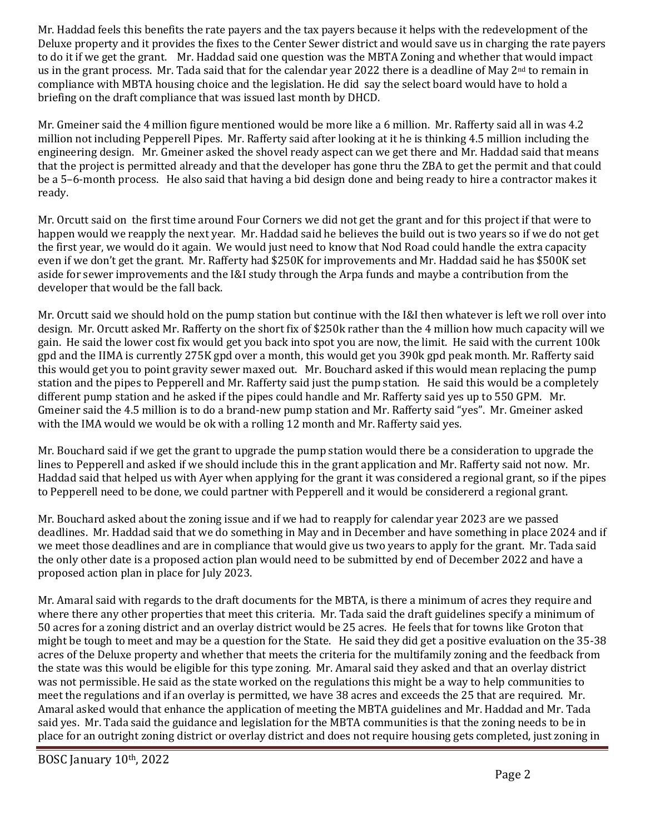Mr. Haddad feels this benefits the rate payers and the tax payers because it helps with the redevelopment of the Deluxe property and it provides the fixes to the Center Sewer district and would save us in charging the rate payers to do it if we get the grant. Mr. Haddad said one question was the MBTA Zoning and whether that would impact us in the grant process. Mr. Tada said that for the calendar year 2022 there is a deadline of May 2<sup>nd</sup> to remain in compliance with MBTA housing choice and the legislation. He did say the select board would have to hold a briefing on the draft compliance that was issued last month by DHCD.

Mr. Gmeiner said the 4 million figure mentioned would be more like a 6 million. Mr. Rafferty said all in was 4.2 million not including Pepperell Pipes. Mr. Rafferty said after looking at it he is thinking 4.5 million including the engineering design. Mr. Gmeiner asked the shovel ready aspect can we get there and Mr. Haddad said that means that the project is permitted already and that the developer has gone thru the ZBA to get the permit and that could be a 5–6-month process. He also said that having a bid design done and being ready to hire a contractor makes it ready.

Mr. Orcutt said on the first time around Four Corners we did not get the grant and for this project if that were to happen would we reapply the next year. Mr. Haddad said he believes the build out is two years so if we do not get the first year, we would do it again. We would just need to know that Nod Road could handle the extra capacity even if we don't get the grant. Mr. Rafferty had \$250K for improvements and Mr. Haddad said he has \$500K set aside for sewer improvements and the I&I study through the Arpa funds and maybe a contribution from the developer that would be the fall back.

Mr. Orcutt said we should hold on the pump station but continue with the I&I then whatever is left we roll over into design. Mr. Orcutt asked Mr. Rafferty on the short fix of \$250k rather than the 4 million how much capacity will we gain. He said the lower cost fix would get you back into spot you are now, the limit. He said with the current 100k gpd and the IIMA is currently 275K gpd over a month, this would get you 390k gpd peak month. Mr. Rafferty said this would get you to point gravity sewer maxed out. Mr. Bouchard asked if this would mean replacing the pump station and the pipes to Pepperell and Mr. Rafferty said just the pump station. He said this would be a completely different pump station and he asked if the pipes could handle and Mr. Rafferty said yes up to 550 GPM. Mr. Gmeiner said the 4.5 million is to do a brand-new pump station and Mr. Rafferty said "yes". Mr. Gmeiner asked with the IMA would we would be ok with a rolling 12 month and Mr. Rafferty said yes.

Mr. Bouchard said if we get the grant to upgrade the pump station would there be a consideration to upgrade the lines to Pepperell and asked if we should include this in the grant application and Mr. Rafferty said not now. Mr. Haddad said that helped us with Ayer when applying for the grant it was considered a regional grant, so if the pipes to Pepperell need to be done, we could partner with Pepperell and it would be considererd a regional grant.

Mr. Bouchard asked about the zoning issue and if we had to reapply for calendar year 2023 are we passed deadlines. Mr. Haddad said that we do something in May and in December and have something in place 2024 and if we meet those deadlines and are in compliance that would give us two years to apply for the grant. Mr. Tada said the only other date is a proposed action plan would need to be submitted by end of December 2022 and have a proposed action plan in place for July 2023.

Mr. Amaral said with regards to the draft documents for the MBTA, is there a minimum of acres they require and where there any other properties that meet this criteria. Mr. Tada said the draft guidelines specify a minimum of 50 acres for a zoning district and an overlay district would be 25 acres. He feels that for towns like Groton that might be tough to meet and may be a question for the State. He said they did get a positive evaluation on the 35-38 acres of the Deluxe property and whether that meets the criteria for the multifamily zoning and the feedback from the state was this would be eligible for this type zoning. Mr. Amaral said they asked and that an overlay district was not permissible. He said as the state worked on the regulations this might be a way to help communities to meet the regulations and if an overlay is permitted, we have 38 acres and exceeds the 25 that are required. Mr. Amaral asked would that enhance the application of meeting the MBTA guidelines and Mr. Haddad and Mr. Tada said yes. Mr. Tada said the guidance and legislation for the MBTA communities is that the zoning needs to be in place for an outright zoning district or overlay district and does not require housing gets completed, just zoning in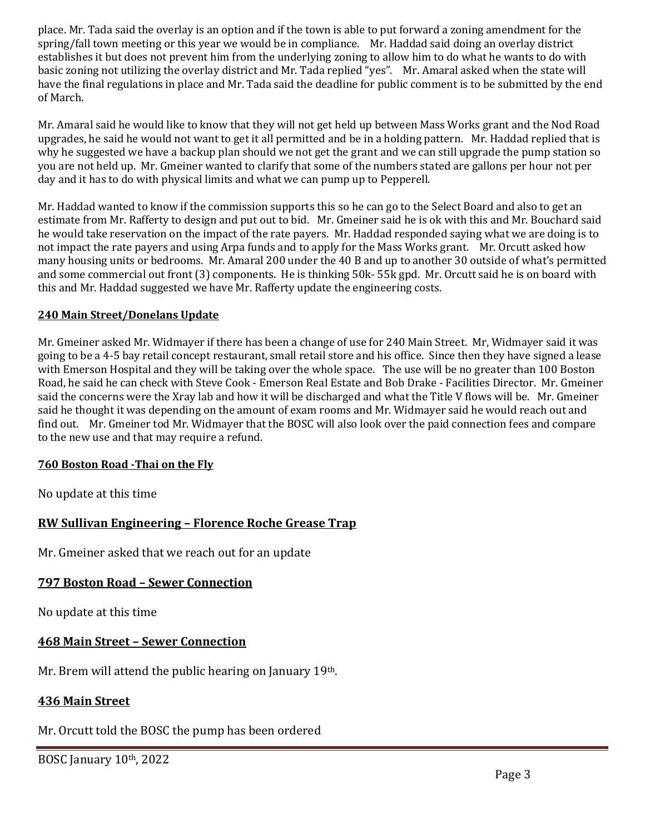place. Mr. Tada said the overlay is an option and if the town is able to put forward a zoning amendment for the spring/fall town meeting or this year we would be in compliance. Mr. Haddad said doing an overlay district establishes it but does not prevent him from the underlying zoning to allow him to do what he wants to do with basic zoning not utilizing the overlay district and Mr. Tada replied "yes". Mr. Amaral asked when the state will have the final regulations in place and Mr. Tada said the deadline for public comment is to be submitted by the end of March.

Mr. Amaral said he would like to know that they will not get held up between Mass Works grant and the Nod Road upgrades, he said he would not want to get it all permitted and be in a holding pattern. Mr. Haddad replied that is why he suggested we have a backup plan should we not get the grant and we can still upgrade the pump station so you are not held up. Mr. Gmeiner wanted to clarify that some of the numbers stated are gallons per hour not per day and it has to do with physical limits and what we can pump up to Pepperell.

Mr. Haddad wanted to know if the commission supports this so he can go to the Select Board and also to get an estimate from Mr. Rafferty to design and put out to bid. Mr. Gmeiner said he is ok with this and Mr. Bouchard said he would take reservation on the impact of the rate payers. Mr. Haddad responded saying what we are doing is to not impact the rate payers and using Arpa funds and to apply for the Mass Works grant. Mr. Orcutt asked how many housing units or bedrooms. Mr. Amaral 200 under the 40 B and up to another 30 outside of what's permitted and some commercial out front (3) components. He is thinking 50k- 55k gpd. Mr. Orcutt said he is on board with this and Mr. Haddad suggested we have Mr. Rafferty update the engineering costs.

# **240 Main Street/Donelans Update**

Mr. Gmeiner asked Mr. Widmayer if there has been a change of use for 240 Main Street. Mr, Widmayer said it was going to be a 4-5 bay retail concept restaurant, small retail store and his office. Since then they have signed a lease with Emerson Hospital and they will be taking over the whole space. The use will be no greater than 100 Boston Road, he said he can check with Steve Cook - Emerson Real Estate and Bob Drake - Facilities Director. Mr. Gmeiner said the concerns were the Xray lab and how it will be discharged and what the Title V flows will be. Mr. Gmeiner said he thought it was depending on the amount of exam rooms and Mr. Widmayer said he would reach out and find out. Mr. Gmeiner tod Mr. Widmayer that the BOSC will also look over the paid connection fees and compare to the new use and that may require a refund.

#### **760 Boston Road -Thai on the Fly**

No update at this time

# **RW Sullivan Engineering – Florence Roche Grease Trap**

Mr. Gmeiner asked that we reach out for an update

# **797 Boston Road – Sewer Connection**

No update at this time

# **468 Main Street – Sewer Connection**

Mr. Brem will attend the public hearing on January 19<sup>th</sup>.

# **436 Main Street**

# Mr. Orcutt told the BOSC the pump has been ordered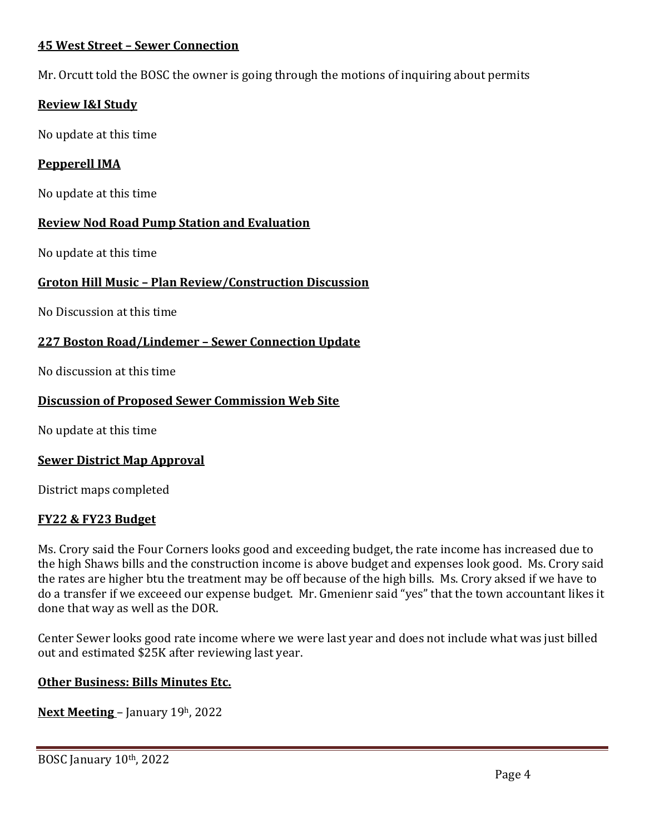# **45 West Street – Sewer Connection**

Mr. Orcutt told the BOSC the owner is going through the motions of inquiring about permits

# **Review I&I Study**

No update at this time

# **Pepperell IMA**

No update at this time

# **Review Nod Road Pump Station and Evaluation**

No update at this time

# **Groton Hill Music – Plan Review/Construction Discussion**

No Discussion at this time

# **227 Boston Road/Lindemer – Sewer Connection Update**

No discussion at this time

# **Discussion of Proposed Sewer Commission Web Site**

No update at this time

# **Sewer District Map Approval**

District maps completed

# **FY22 & FY23 Budget**

Ms. Crory said the Four Corners looks good and exceeding budget, the rate income has increased due to the high Shaws bills and the construction income is above budget and expenses look good. Ms. Crory said the rates are higher btu the treatment may be off because of the high bills. Ms. Crory aksed if we have to do a transfer if we exceeed our expense budget. Mr. Gmenienr said "yes" that the town accountant likes it done that way as well as the DOR.

Center Sewer looks good rate income where we were last year and does not include what was just billed out and estimated \$25K after reviewing last year.

# **Other Business: Bills Minutes Etc.**

**Next Meeting** – January 19h, 2022